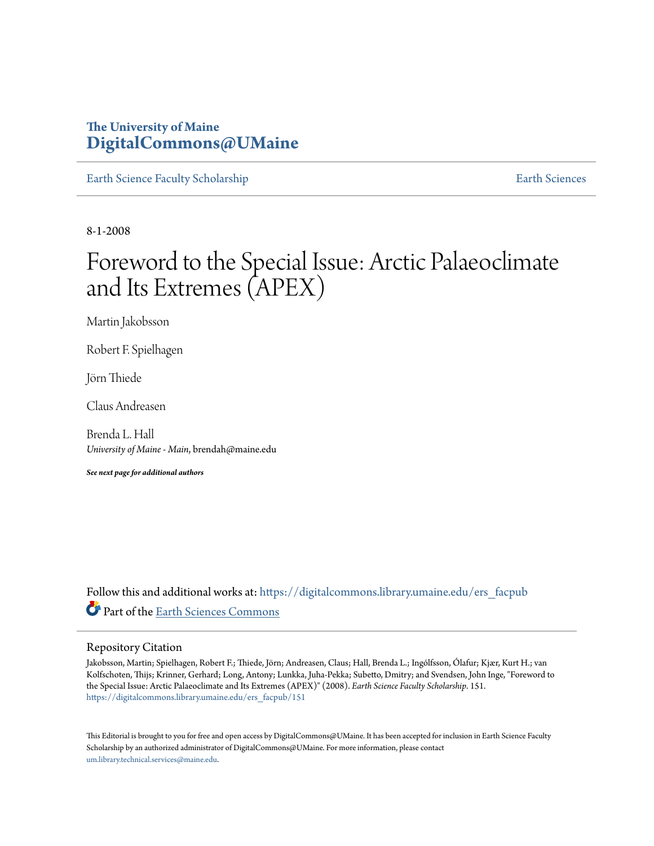# **The University of Maine [DigitalCommons@UMaine](https://digitalcommons.library.umaine.edu?utm_source=digitalcommons.library.umaine.edu%2Fers_facpub%2F151&utm_medium=PDF&utm_campaign=PDFCoverPages)**

[Earth Science Faculty Scholarship](https://digitalcommons.library.umaine.edu/ers_facpub?utm_source=digitalcommons.library.umaine.edu%2Fers_facpub%2F151&utm_medium=PDF&utm_campaign=PDFCoverPages) **[Earth Sciences](https://digitalcommons.library.umaine.edu/ers?utm_source=digitalcommons.library.umaine.edu%2Fers_facpub%2F151&utm_medium=PDF&utm_campaign=PDFCoverPages)** 

8-1-2008

# Foreword to the Special Issue: Arctic Palaeoclimate and Its Extremes (APEX)

Martin Jakobsson

Robert F. Spielhagen

Jörn Thiede

Claus Andreasen

Brenda L. Hall *University of Maine - Main*, brendah@maine.edu

*See next page for additional authors*

Follow this and additional works at: [https://digitalcommons.library.umaine.edu/ers\\_facpub](https://digitalcommons.library.umaine.edu/ers_facpub?utm_source=digitalcommons.library.umaine.edu%2Fers_facpub%2F151&utm_medium=PDF&utm_campaign=PDFCoverPages) Part of the [Earth Sciences Commons](http://network.bepress.com/hgg/discipline/153?utm_source=digitalcommons.library.umaine.edu%2Fers_facpub%2F151&utm_medium=PDF&utm_campaign=PDFCoverPages)

### Repository Citation

Jakobsson, Martin; Spielhagen, Robert F.; Thiede, Jörn; Andreasen, Claus; Hall, Brenda L.; Ingólfsson, Ólafur; Kjær, Kurt H.; van Kolfschoten, Thijs; Krinner, Gerhard; Long, Antony; Lunkka, Juha-Pekka; Subetto, Dmitry; and Svendsen, John Inge, "Foreword to the Special Issue: Arctic Palaeoclimate and Its Extremes (APEX)" (2008). *Earth Science Faculty Scholarship*. 151. [https://digitalcommons.library.umaine.edu/ers\\_facpub/151](https://digitalcommons.library.umaine.edu/ers_facpub/151?utm_source=digitalcommons.library.umaine.edu%2Fers_facpub%2F151&utm_medium=PDF&utm_campaign=PDFCoverPages)

This Editorial is brought to you for free and open access by DigitalCommons@UMaine. It has been accepted for inclusion in Earth Science Faculty Scholarship by an authorized administrator of DigitalCommons@UMaine. For more information, please contact [um.library.technical.services@maine.edu](mailto:um.library.technical.services@maine.edu).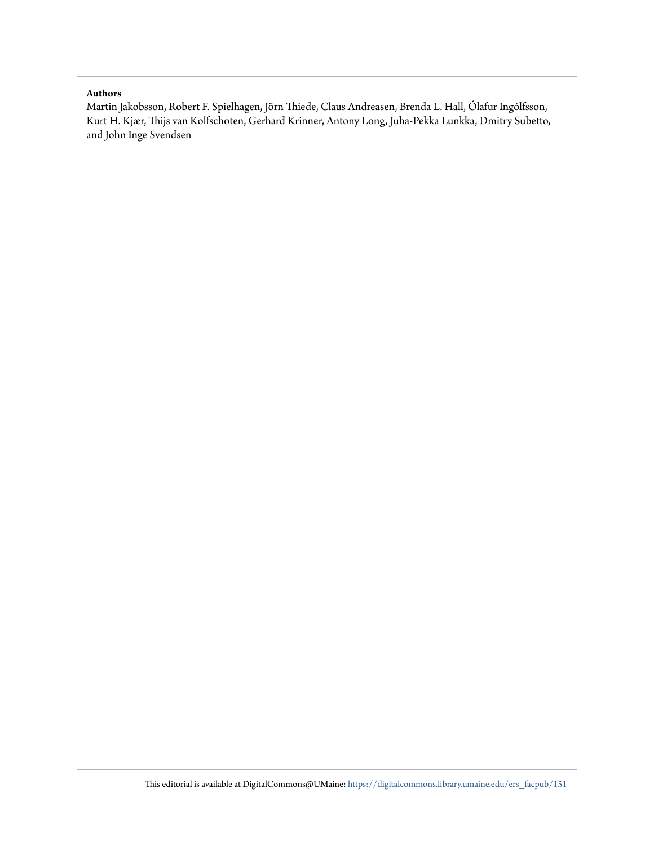### **Authors**

Martin Jakobsson, Robert F. Spielhagen, Jörn Thiede, Claus Andreasen, Brenda L. Hall, Ólafur Ingólfsson, Kurt H. Kjær, Thijs van Kolfschoten, Gerhard Krinner, Antony Long, Juha-Pekka Lunkka, Dmitry Subetto, and John Inge Svendsen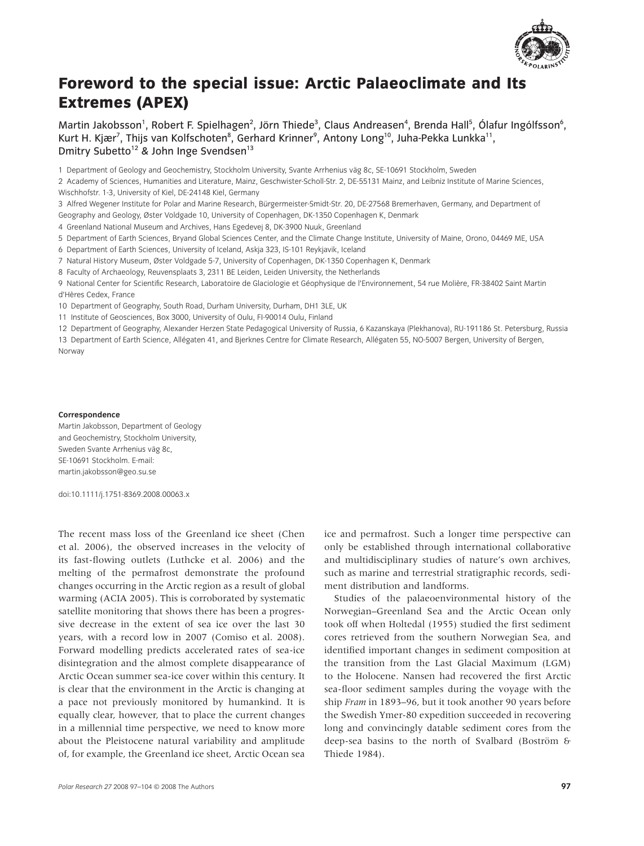

# **Foreword to the special issue: Arctic Palaeoclimate and Its Extremes (APEX)**

Martin Jakobsson<sup>1</sup>, Robert F. Spielhagen<sup>2</sup>, Jörn Thiede<sup>3</sup>, Claus Andreasen<sup>4</sup>, Brenda Hall<sup>5</sup>, Ólafur Ingólfsson<sup>6</sup>, Kurt H. Kjær<sup>7</sup>, Thijs van Kolfschoten<sup>8</sup>, Gerhard Krinner<sup>9</sup>, Antony Long<sup>10</sup>, Juha-Pekka Lunkka<sup>11</sup>, Dmitry Subetto<sup>12</sup> & John Inge Svendsen<sup>13</sup>

1 Department of Geology and Geochemistry, Stockholm University, Svante Arrhenius väg 8c, SE-10691 Stockholm, Sweden

2 Academy of Sciences, Humanities and Literature, Mainz, Geschwister-Scholl-Str. 2, DE-55131 Mainz, and Leibniz Institute of Marine Sciences, Wischhofstr. 1-3, University of Kiel, DE-24148 Kiel, Germany

3 Alfred Wegener Institute for Polar and Marine Research, Bürgermeister-Smidt-Str. 20, DE-27568 Bremerhaven, Germany, and Department of Geography and Geology, Øster Voldgade 10, University of Copenhagen, DK-1350 Copenhagen K, Denmark

4 Greenland National Museum and Archives, Hans Egedevej 8, DK-3900 Nuuk, Greenland

5 Department of Earth Sciences, Bryand Global Sciences Center, and the Climate Change Institute, University of Maine, Orono, 04469 ME, USA

6 Department of Earth Sciences, University of Iceland, Askja 323, IS-101 Reykjavik, Iceland

7 Natural History Museum, Øster Voldgade 5-7, University of Copenhagen, DK-1350 Copenhagen K, Denmark

8 Faculty of Archaeology, Reuvensplaats 3, 2311 BE Leiden, Leiden University, the Netherlands

9 National Center for Scientific Research, Laboratoire de Glaciologie et Géophysique de l'Environnement, 54 rue Molière, FR-38402 Saint Martin d'Hères Cedex, France

10 Department of Geography, South Road, Durham University, Durham, DH1 3LE, UK

11 Institute of Geosciences, Box 3000, University of Oulu, FI-90014 Oulu, Finland

12 Department of Geography, Alexander Herzen State Pedagogical University of Russia, 6 Kazanskaya (Plekhanova), RU-191186 St. Petersburg, Russia 13 Department of Earth Science, Allégaten 41, and Bjerknes Centre for Climate Research, Allégaten 55, NO-5007 Bergen, University of Bergen, Norway

#### **Correspondence**

Martin Jakobsson, Department of Geology and Geochemistry, Stockholm University, Sweden Svante Arrhenius väg 8c, SE-10691 Stockholm. E-mail: martin.[jakobsson@geo.su.se](mailto:jakobsson@geo.su.se)

doi:10.1111/j.1751-8369.2008.00063.x

The recent mass loss of the Greenland ice sheet (Chen et al. 2006), the observed increases in the velocity of its fast-flowing outlets (Luthcke et al. 2006) and the melting of the permafrost demonstrate the profound changes occurring in the Arctic region as a result of global warming (ACIA 2005). This is corroborated by systematic satellite monitoring that shows there has been a progressive decrease in the extent of sea ice over the last 30 years, with a record low in 2007 (Comiso et al. 2008). Forward modelling predicts accelerated rates of sea-ice disintegration and the almost complete disappearance of Arctic Ocean summer sea-ice cover within this century. It is clear that the environment in the Arctic is changing at a pace not previously monitored by humankind. It is equally clear, however, that to place the current changes in a millennial time perspective, we need to know more about the Pleistocene natural variability and amplitude of, for example, the Greenland ice sheet, Arctic Ocean sea

ice and permafrost. Such a longer time perspective can only be established through international collaborative and multidisciplinary studies of nature's own archives, such as marine and terrestrial stratigraphic records, sediment distribution and landforms.

Studies of the palaeoenvironmental history of the Norwegian–Greenland Sea and the Arctic Ocean only took off when Holtedal (1955) studied the first sediment cores retrieved from the southern Norwegian Sea, and identified important changes in sediment composition at the transition from the Last Glacial Maximum (LGM) to the Holocene. Nansen had recovered the first Arctic sea-floor sediment samples during the voyage with the ship *Fram* in 1893–96, but it took another 90 years before the Swedish Ymer-80 expedition succeeded in recovering long and convincingly datable sediment cores from the deep-sea basins to the north of Svalbard (Boström & Thiede 1984).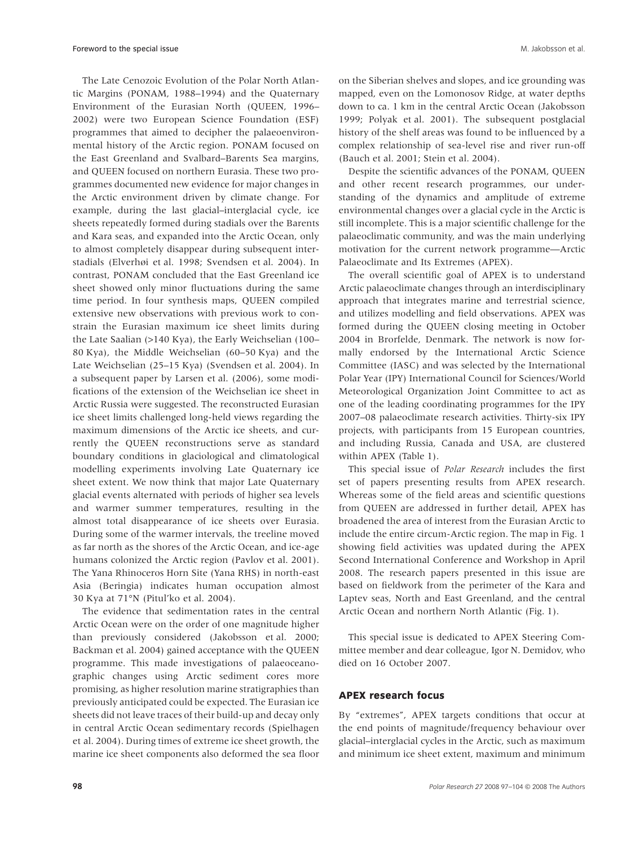The Late Cenozoic Evolution of the Polar North Atlantic Margins (PONAM, 1988–1994) and the Quaternary Environment of the Eurasian North (QUEEN, 1996– 2002) were two European Science Foundation (ESF) programmes that aimed to decipher the palaeoenvironmental history of the Arctic region. PONAM focused on the East Greenland and Svalbard–Barents Sea margins, and QUEEN focused on northern Eurasia. These two programmes documented new evidence for major changes in the Arctic environment driven by climate change. For example, during the last glacial–interglacial cycle, ice sheets repeatedly formed during stadials over the Barents and Kara seas, and expanded into the Arctic Ocean, only to almost completely disappear during subsequent interstadials (Elverhøi et al. 1998; Svendsen et al. 2004). In contrast, PONAM concluded that the East Greenland ice sheet showed only minor fluctuations during the same time period. In four synthesis maps, QUEEN compiled extensive new observations with previous work to constrain the Eurasian maximum ice sheet limits during the Late Saalian (>140 Kya), the Early Weichselian (100– 80 Kya), the Middle Weichselian (60–50 Kya) and the Late Weichselian (25–15 Kya) (Svendsen et al. 2004). In a subsequent paper by Larsen et al. (2006), some modifications of the extension of the Weichselian ice sheet in Arctic Russia were suggested. The reconstructed Eurasian ice sheet limits challenged long-held views regarding the maximum dimensions of the Arctic ice sheets, and currently the QUEEN reconstructions serve as standard boundary conditions in glaciological and climatological modelling experiments involving Late Quaternary ice sheet extent. We now think that major Late Quaternary glacial events alternated with periods of higher sea levels and warmer summer temperatures, resulting in the almost total disappearance of ice sheets over Eurasia. During some of the warmer intervals, the treeline moved as far north as the shores of the Arctic Ocean, and ice-age humans colonized the Arctic region (Pavlov et al. 2001). The Yana Rhinoceros Horn Site (Yana RHS) in north-east Asia (Beringia) indicates human occupation almost 30 Kya at 71°N (Pitul'ko et al. 2004).

The evidence that sedimentation rates in the central Arctic Ocean were on the order of one magnitude higher than previously considered (Jakobsson et al. 2000; Backman et al. 2004) gained acceptance with the QUEEN programme. This made investigations of palaeoceanographic changes using Arctic sediment cores more promising, as higher resolution marine stratigraphies than previously anticipated could be expected. The Eurasian ice sheets did not leave traces of their build-up and decay only in central Arctic Ocean sedimentary records (Spielhagen et al. 2004). During times of extreme ice sheet growth, the marine ice sheet components also deformed the sea floor on the Siberian shelves and slopes, and ice grounding was mapped, even on the Lomonosov Ridge, at water depths down to ca. 1 km in the central Arctic Ocean (Jakobsson 1999; Polyak et al. 2001). The subsequent postglacial history of the shelf areas was found to be influenced by a complex relationship of sea-level rise and river run-off (Bauch et al. 2001; Stein et al. 2004).

Despite the scientific advances of the PONAM, QUEEN and other recent research programmes, our understanding of the dynamics and amplitude of extreme environmental changes over a glacial cycle in the Arctic is still incomplete. This is a major scientific challenge for the palaeoclimatic community, and was the main underlying motivation for the current network programme—Arctic Palaeoclimate and Its Extremes (APEX).

The overall scientific goal of APEX is to understand Arctic palaeoclimate changes through an interdisciplinary approach that integrates marine and terrestrial science, and utilizes modelling and field observations. APEX was formed during the QUEEN closing meeting in October 2004 in Brorfelde, Denmark. The network is now formally endorsed by the International Arctic Science Committee (IASC) and was selected by the International Polar Year (IPY) International Council for Sciences/World Meteorological Organization Joint Committee to act as one of the leading coordinating programmes for the IPY 2007–08 palaeoclimate research activities. Thirty-six IPY projects, with participants from 15 European countries, and including Russia, Canada and USA, are clustered within APEX (Table 1).

This special issue of *Polar Research* includes the first set of papers presenting results from APEX research. Whereas some of the field areas and scientific questions from QUEEN are addressed in further detail, APEX has broadened the area of interest from the Eurasian Arctic to include the entire circum-Arctic region. The map in Fig. 1 showing field activities was updated during the APEX Second International Conference and Workshop in April 2008. The research papers presented in this issue are based on fieldwork from the perimeter of the Kara and Laptev seas, North and East Greenland, and the central Arctic Ocean and northern North Atlantic (Fig. 1).

This special issue is dedicated to APEX Steering Committee member and dear colleague, Igor N. Demidov, who died on 16 October 2007.

## **APEX research focus**

By "extremes", APEX targets conditions that occur at the end points of magnitude/frequency behaviour over glacial–interglacial cycles in the Arctic, such as maximum and minimum ice sheet extent, maximum and minimum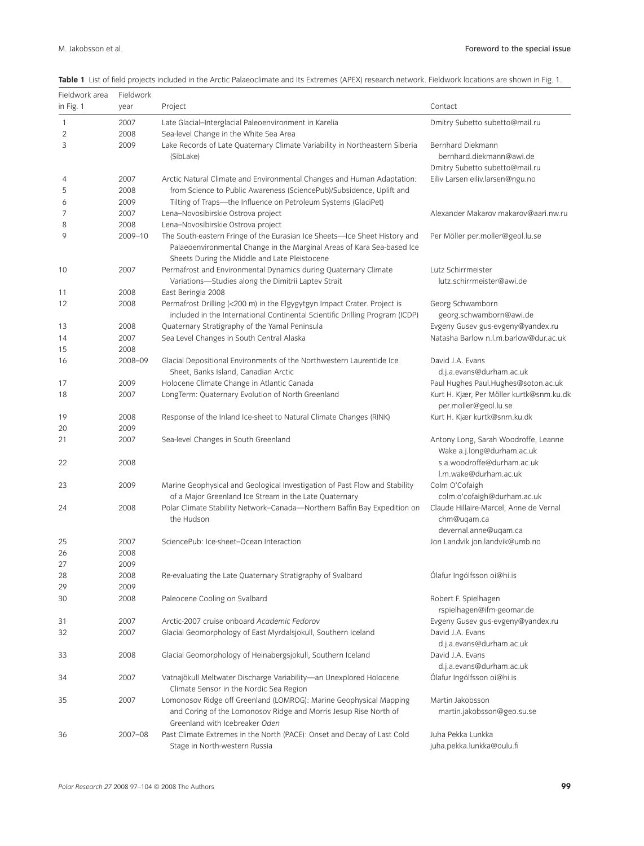| Table 1 List of field projects included in the Arctic Palaeoclimate and Its Extremes (APEX) research network. Fieldwork locations are shown in Fig. 1. |  |  |
|--------------------------------------------------------------------------------------------------------------------------------------------------------|--|--|
|--------------------------------------------------------------------------------------------------------------------------------------------------------|--|--|

| Fieldwork area | Fieldwork    |                                                                                                                                                                                                      |                                                                                                  |
|----------------|--------------|------------------------------------------------------------------------------------------------------------------------------------------------------------------------------------------------------|--------------------------------------------------------------------------------------------------|
| in Fig. 1      | year         | Project                                                                                                                                                                                              | Contact                                                                                          |
| $\mathbf{1}$   | 2007         | Late Glacial-Interglacial Paleoenvironment in Karelia                                                                                                                                                | Dmitry Subetto subetto@mail.ru                                                                   |
| $\overline{2}$ | 2008         | Sea-level Change in the White Sea Area                                                                                                                                                               |                                                                                                  |
| 3              | 2009         | Lake Records of Late Quaternary Climate Variability in Northeastern Siberia<br>(SibLake)                                                                                                             | Bernhard Diekmann<br>bernhard.diekmann@awi.de<br>Dmitry Subetto subetto@mail.ru                  |
| 4              | 2007         | Arctic Natural Climate and Environmental Changes and Human Adaptation:                                                                                                                               | Eiliv Larsen eiliv.larsen@ngu.no                                                                 |
| 5              | 2008         | from Science to Public Awareness (SciencePub)/Subsidence, Uplift and                                                                                                                                 |                                                                                                  |
| 6              | 2009         | Tilting of Traps-the Influence on Petroleum Systems (GlaciPet)                                                                                                                                       |                                                                                                  |
| 7              | 2007         | Lena-Novosibirskie Ostrova project                                                                                                                                                                   | Alexander Makarov makarov@aari.nw.ru                                                             |
| 8              | 2008         | Lena-Novosibirskie Ostrova project                                                                                                                                                                   |                                                                                                  |
| 9              | $2009 - 10$  | The South-eastern Fringe of the Eurasian Ice Sheets-Ice Sheet History and<br>Palaeoenvironmental Change in the Marginal Areas of Kara Sea-based Ice<br>Sheets During the Middle and Late Pleistocene | Per Möller per.moller@geol.lu.se                                                                 |
| 10             | 2007         | Permafrost and Environmental Dynamics during Quaternary Climate                                                                                                                                      | Lutz Schirrmeister                                                                               |
|                |              | Variations-Studies along the Dimitrii Laptev Strait                                                                                                                                                  | lutz.schirrmeister@awi.de                                                                        |
| 11             | 2008         | East Beringia 2008                                                                                                                                                                                   |                                                                                                  |
| 12             | 2008         | Permafrost Drilling (<200 m) in the Elgygytgyn Impact Crater. Project is<br>included in the International Continental Scientific Drilling Program (ICDP)                                             | Georg Schwamborn<br>georg.schwamborn@awi.de                                                      |
| 13             | 2008         | Quaternary Stratigraphy of the Yamal Peninsula                                                                                                                                                       | Evgeny Gusev gus-evgeny@yandex.ru                                                                |
| 14             | 2007         | Sea Level Changes in South Central Alaska                                                                                                                                                            | Natasha Barlow n.l.m.barlow@dur.ac.uk                                                            |
| 15             | 2008         |                                                                                                                                                                                                      |                                                                                                  |
| 16             | 2008-09      | Glacial Depositional Environments of the Northwestern Laurentide Ice                                                                                                                                 | David J.A. Evans                                                                                 |
|                |              | Sheet, Banks Island, Canadian Arctic                                                                                                                                                                 | d.j.a.evans@durham.ac.uk                                                                         |
| 17             | 2009         | Holocene Climate Change in Atlantic Canada                                                                                                                                                           | Paul Hughes Paul.Hughes@soton.ac.uk                                                              |
| 18             | 2007         | LongTerm: Quaternary Evolution of North Greenland                                                                                                                                                    | Kurt H. Kjær, Per Möller kurtk@snm.ku.dk<br>per.moller@geol.lu.se                                |
| 19             | 2008         | Response of the Inland Ice-sheet to Natural Climate Changes (RINK)                                                                                                                                   | Kurt H. Kjær kurtk@snm.ku.dk                                                                     |
| 20             | 2009         |                                                                                                                                                                                                      |                                                                                                  |
| 21<br>22       | 2007<br>2008 | Sea-level Changes in South Greenland                                                                                                                                                                 | Antony Long, Sarah Woodroffe, Leanne<br>Wake a.j.long@durham.ac.uk<br>s.a.woodroffe@durham.ac.uk |
|                |              |                                                                                                                                                                                                      | l.m.wake@durham.ac.uk                                                                            |
| 23             | 2009         | Marine Geophysical and Geological Investigation of Past Flow and Stability<br>of a Major Greenland Ice Stream in the Late Quaternary                                                                 | Colm O'Cofaigh<br>colm.o'cofaigh@durham.ac.uk                                                    |
| 24             | 2008         | Polar Climate Stability Network-Canada-Northern Baffin Bay Expedition on<br>the Hudson                                                                                                               | Claude Hillaire-Marcel, Anne de Vernal<br>chm@ugam.ca                                            |
| 25             | 2007         | SciencePub: Ice-sheet-Ocean Interaction                                                                                                                                                              | devernal.anne@uqam.ca<br>Jon Landvik jon.landvik@umb.no                                          |
| 26             | 2008         |                                                                                                                                                                                                      |                                                                                                  |
| 27             | 2009         |                                                                                                                                                                                                      |                                                                                                  |
| 28             | 2008         | Re-evaluating the Late Quaternary Stratigraphy of Svalbard                                                                                                                                           | Ólafur Ingólfsson oi@hi.is                                                                       |
| 29             | 2009         |                                                                                                                                                                                                      |                                                                                                  |
| 30             | 2008         | Paleocene Cooling on Svalbard                                                                                                                                                                        | Robert F. Spielhagen<br>rspielhagen@ifm-geomar.de                                                |
| 31             | 2007         | Arctic-2007 cruise onboard Academic Fedorov                                                                                                                                                          | Evgeny Gusev gus-evgeny@yandex.ru                                                                |
| 32             | 2007         | Glacial Geomorphology of East Myrdalsjokull, Southern Iceland                                                                                                                                        | David J.A. Evans<br>d.j.a.evans@durham.ac.uk                                                     |
| 33             | 2008         | Glacial Geomorphology of Heinabergsjokull, Southern Iceland                                                                                                                                          | David J.A. Evans<br>d.j.a.evans@durham.ac.uk                                                     |
| 34             | 2007         | Vatnajökull Meltwater Discharge Variability-an Unexplored Holocene<br>Climate Sensor in the Nordic Sea Region                                                                                        | Ólafur Ingólfsson oi@hi.is                                                                       |
| 35             | 2007         | Lomonosov Ridge off Greenland (LOMROG): Marine Geophysical Mapping                                                                                                                                   | Martin Jakobsson                                                                                 |
|                |              | and Coring of the Lomonosov Ridge and Morris Jesup Rise North of<br>Greenland with Icebreaker Oden                                                                                                   | martin.jakobsson@geo.su.se                                                                       |
| 36             | $2007 - 08$  | Past Climate Extremes in the North (PACE): Onset and Decay of Last Cold                                                                                                                              | Juha Pekka Lunkka                                                                                |
|                |              | Stage in North-western Russia                                                                                                                                                                        | juha.pekka.lunkka@oulu.fi                                                                        |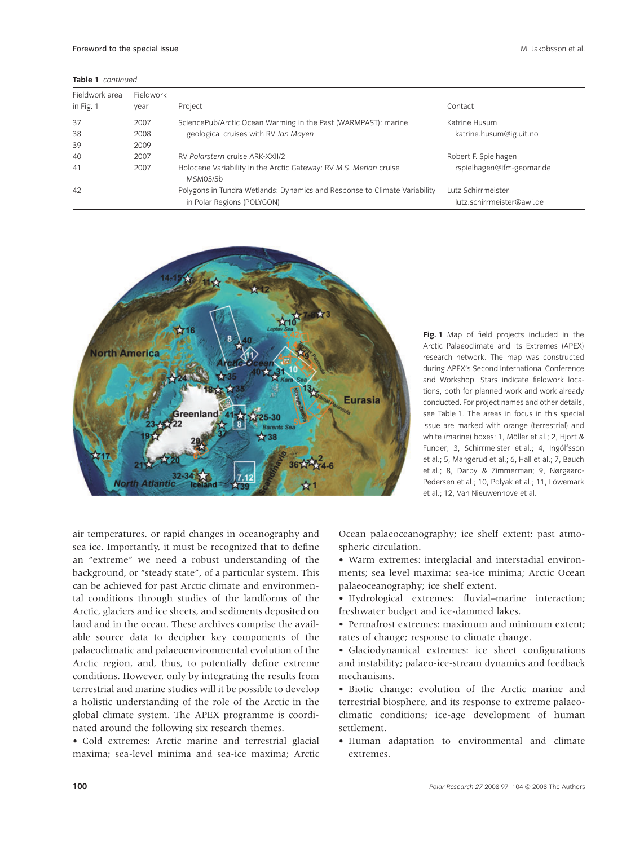**Table 1** *continued*

| Fieldwork area | Fieldwork |                                                                                                         |                                                 |  |
|----------------|-----------|---------------------------------------------------------------------------------------------------------|-------------------------------------------------|--|
| in Fig. 1      | year      | Project                                                                                                 | Contact                                         |  |
| 37             | 2007      | SciencePub/Arctic Ocean Warming in the Past (WARMPAST): marine<br>geological cruises with RV Jan Mayen  | Katrine Husum                                   |  |
| 38             | 2008      |                                                                                                         | katrine.husum@ig.uit.no                         |  |
| 39             | 2009      |                                                                                                         |                                                 |  |
| 40             | 2007      | RV Polarstern cruise ARK-XXII/2                                                                         | Robert F. Spielhagen                            |  |
| 41             | 2007      | Holocene Variability in the Arctic Gateway: RV M.S. Merian cruise<br>MSM05/5b                           | rspielhagen@ifm-geomar.de                       |  |
| 42             |           | Polygons in Tundra Wetlands: Dynamics and Response to Climate Variability<br>in Polar Regions (POLYGON) | Lutz Schirrmeister<br>lutz.schirrmeister@awi.de |  |



**Fig. 1** Map of field projects included in the Arctic Palaeoclimate and Its Extremes (APEX) research network. The map was constructed during APEX's Second International Conference and Workshop. Stars indicate fieldwork locations, both for planned work and work already conducted. For project names and other details, see Table 1. The areas in focus in this special issue are marked with orange (terrestrial) and white (marine) boxes: 1, Möller et al.; 2, Hjort & Funder; 3, Schirrmeister et al.; 4, Ingólfsson et al.; 5, Mangerud et al.; 6, Hall et al.; 7, Bauch et al.; 8, Darby & Zimmerman; 9, Nørgaard-Pedersen et al.; 10, Polyak et al.; 11, Löwemark et al.; 12, Van Nieuwenhove et al.

air temperatures, or rapid changes in oceanography and sea ice. Importantly, it must be recognized that to define an "extreme" we need a robust understanding of the background, or "steady state", of a particular system. This can be achieved for past Arctic climate and environmental conditions through studies of the landforms of the Arctic, glaciers and ice sheets, and sediments deposited on land and in the ocean. These archives comprise the available source data to decipher key components of the palaeoclimatic and palaeoenvironmental evolution of the Arctic region, and, thus, to potentially define extreme conditions. However, only by integrating the results from terrestrial and marine studies will it be possible to develop a holistic understanding of the role of the Arctic in the global climate system. The APEX programme is coordinated around the following six research themes.

• Cold extremes: Arctic marine and terrestrial glacial maxima; sea-level minima and sea-ice maxima; Arctic Ocean palaeoceanography; ice shelf extent; past atmospheric circulation.

• Warm extremes: interglacial and interstadial environments; sea level maxima; sea-ice minima; Arctic Ocean palaeoceanography; ice shelf extent.

• Hydrological extremes: fluvial–marine interaction; freshwater budget and ice-dammed lakes.

• Permafrost extremes: maximum and minimum extent; rates of change; response to climate change.

• Glaciodynamical extremes: ice sheet configurations and instability; palaeo-ice-stream dynamics and feedback mechanisms.

• Biotic change: evolution of the Arctic marine and terrestrial biosphere, and its response to extreme palaeoclimatic conditions; ice-age development of human settlement.

• Human adaptation to environmental and climate extremes.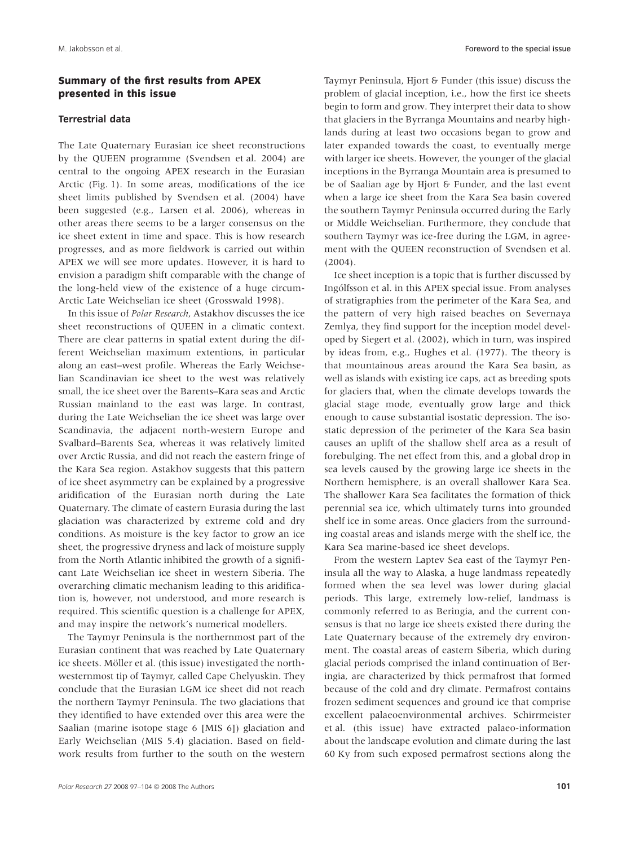## **Summary of the first results from APEX presented in this issue**

#### **Terrestrial data**

The Late Quaternary Eurasian ice sheet reconstructions by the QUEEN programme (Svendsen et al. 2004) are central to the ongoing APEX research in the Eurasian Arctic (Fig. 1). In some areas, modifications of the ice sheet limits published by Svendsen et al. (2004) have been suggested (e.g., Larsen et al. 2006), whereas in other areas there seems to be a larger consensus on the ice sheet extent in time and space. This is how research progresses, and as more fieldwork is carried out within APEX we will see more updates. However, it is hard to envision a paradigm shift comparable with the change of the long-held view of the existence of a huge circum-Arctic Late Weichselian ice sheet (Grosswald 1998).

In this issue of *Polar Research*, Astakhov discusses the ice sheet reconstructions of QUEEN in a climatic context. There are clear patterns in spatial extent during the different Weichselian maximum extentions, in particular along an east–west profile. Whereas the Early Weichselian Scandinavian ice sheet to the west was relatively small, the ice sheet over the Barents–Kara seas and Arctic Russian mainland to the east was large. In contrast, during the Late Weichselian the ice sheet was large over Scandinavia, the adjacent north-western Europe and Svalbard–Barents Sea, whereas it was relatively limited over Arctic Russia, and did not reach the eastern fringe of the Kara Sea region. Astakhov suggests that this pattern of ice sheet asymmetry can be explained by a progressive aridification of the Eurasian north during the Late Quaternary. The climate of eastern Eurasia during the last glaciation was characterized by extreme cold and dry conditions. As moisture is the key factor to grow an ice sheet, the progressive dryness and lack of moisture supply from the North Atlantic inhibited the growth of a significant Late Weichselian ice sheet in western Siberia. The overarching climatic mechanism leading to this aridification is, however, not understood, and more research is required. This scientific question is a challenge for APEX, and may inspire the network's numerical modellers.

The Taymyr Peninsula is the northernmost part of the Eurasian continent that was reached by Late Quaternary ice sheets. Möller et al. (this issue) investigated the northwesternmost tip of Taymyr, called Cape Chelyuskin. They conclude that the Eurasian LGM ice sheet did not reach the northern Taymyr Peninsula. The two glaciations that they identified to have extended over this area were the Saalian (marine isotope stage 6 [MIS 6]) glaciation and Early Weichselian (MIS 5.4) glaciation. Based on fieldwork results from further to the south on the western Taymyr Peninsula, Hjort & Funder (this issue) discuss the problem of glacial inception, i.e., how the first ice sheets begin to form and grow. They interpret their data to show that glaciers in the Byrranga Mountains and nearby highlands during at least two occasions began to grow and later expanded towards the coast, to eventually merge with larger ice sheets. However, the younger of the glacial inceptions in the Byrranga Mountain area is presumed to be of Saalian age by Hjort & Funder, and the last event when a large ice sheet from the Kara Sea basin covered the southern Taymyr Peninsula occurred during the Early or Middle Weichselian. Furthermore, they conclude that southern Taymyr was ice-free during the LGM, in agreement with the QUEEN reconstruction of Svendsen et al. (2004).

Ice sheet inception is a topic that is further discussed by Ingólfsson et al. in this APEX special issue. From analyses of stratigraphies from the perimeter of the Kara Sea, and the pattern of very high raised beaches on Severnaya Zemlya, they find support for the inception model developed by Siegert et al. (2002), which in turn, was inspired by ideas from, e.g., Hughes et al. (1977). The theory is that mountainous areas around the Kara Sea basin, as well as islands with existing ice caps, act as breeding spots for glaciers that, when the climate develops towards the glacial stage mode, eventually grow large and thick enough to cause substantial isostatic depression. The isostatic depression of the perimeter of the Kara Sea basin causes an uplift of the shallow shelf area as a result of forebulging. The net effect from this, and a global drop in sea levels caused by the growing large ice sheets in the Northern hemisphere, is an overall shallower Kara Sea. The shallower Kara Sea facilitates the formation of thick perennial sea ice, which ultimately turns into grounded shelf ice in some areas. Once glaciers from the surrounding coastal areas and islands merge with the shelf ice, the Kara Sea marine-based ice sheet develops.

From the western Laptev Sea east of the Taymyr Peninsula all the way to Alaska, a huge landmass repeatedly formed when the sea level was lower during glacial periods. This large, extremely low-relief, landmass is commonly referred to as Beringia, and the current consensus is that no large ice sheets existed there during the Late Quaternary because of the extremely dry environment. The coastal areas of eastern Siberia, which during glacial periods comprised the inland continuation of Beringia, are characterized by thick permafrost that formed because of the cold and dry climate. Permafrost contains frozen sediment sequences and ground ice that comprise excellent palaeoenvironmental archives. Schirrmeister et al. (this issue) have extracted palaeo-information about the landscape evolution and climate during the last 60 Ky from such exposed permafrost sections along the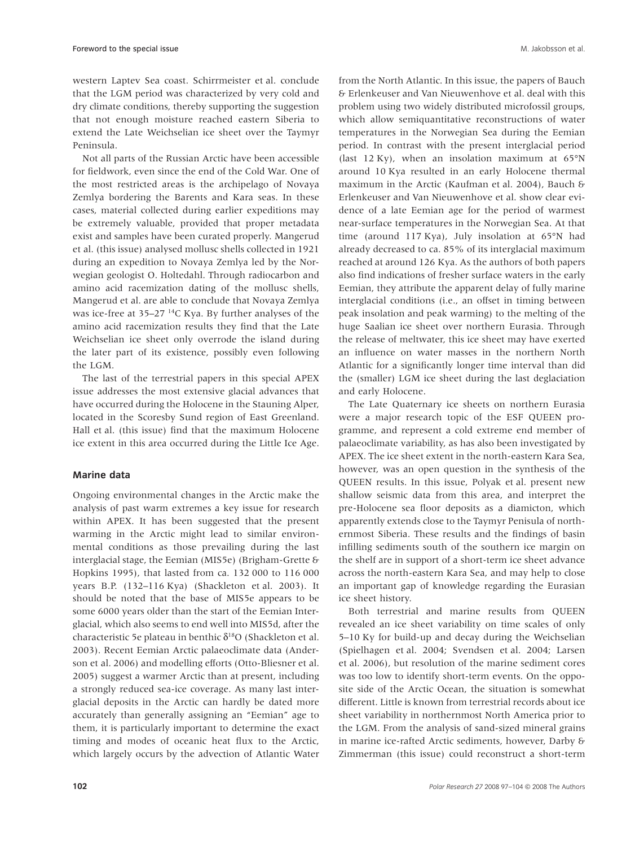western Laptev Sea coast. Schirrmeister et al. conclude that the LGM period was characterized by very cold and dry climate conditions, thereby supporting the suggestion that not enough moisture reached eastern Siberia to extend the Late Weichselian ice sheet over the Taymyr Peninsula.

Not all parts of the Russian Arctic have been accessible for fieldwork, even since the end of the Cold War. One of the most restricted areas is the archipelago of Novaya Zemlya bordering the Barents and Kara seas. In these cases, material collected during earlier expeditions may be extremely valuable, provided that proper metadata exist and samples have been curated properly. Mangerud et al. (this issue) analysed mollusc shells collected in 1921 during an expedition to Novaya Zemlya led by the Norwegian geologist O. Holtedahl. Through radiocarbon and amino acid racemization dating of the mollusc shells, Mangerud et al. are able to conclude that Novaya Zemlya was ice-free at  $35-27$  <sup>14</sup>C Kya. By further analyses of the amino acid racemization results they find that the Late Weichselian ice sheet only overrode the island during the later part of its existence, possibly even following the LGM.

The last of the terrestrial papers in this special APEX issue addresses the most extensive glacial advances that have occurred during the Holocene in the Stauning Alper, located in the Scoresby Sund region of East Greenland. Hall et al. (this issue) find that the maximum Holocene ice extent in this area occurred during the Little Ice Age.

### **Marine data**

Ongoing environmental changes in the Arctic make the analysis of past warm extremes a key issue for research within APEX. It has been suggested that the present warming in the Arctic might lead to similar environmental conditions as those prevailing during the last interglacial stage, the Eemian (MIS5e) (Brigham-Grette & Hopkins 1995), that lasted from ca. 132 000 to 116 000 years B.P. (132–116 Kya) (Shackleton et al. 2003). It should be noted that the base of MIS5e appears to be some 6000 years older than the start of the Eemian Interglacial, which also seems to end well into MIS5d, after the characteristic 5e plateau in benthic  $\delta^{18}O$  (Shackleton et al. 2003). Recent Eemian Arctic palaeoclimate data (Anderson et al. 2006) and modelling efforts (Otto-Bliesner et al. 2005) suggest a warmer Arctic than at present, including a strongly reduced sea-ice coverage. As many last interglacial deposits in the Arctic can hardly be dated more accurately than generally assigning an "Eemian" age to them, it is particularly important to determine the exact timing and modes of oceanic heat flux to the Arctic, which largely occurs by the advection of Atlantic Water

from the North Atlantic. In this issue, the papers of Bauch & Erlenkeuser and Van Nieuwenhove et al. deal with this problem using two widely distributed microfossil groups, which allow semiquantitative reconstructions of water temperatures in the Norwegian Sea during the Eemian period. In contrast with the present interglacial period (last 12 Ky), when an insolation maximum at 65°N around 10 Kya resulted in an early Holocene thermal maximum in the Arctic (Kaufman et al. 2004), Bauch & Erlenkeuser and Van Nieuwenhove et al. show clear evidence of a late Eemian age for the period of warmest near-surface temperatures in the Norwegian Sea. At that time (around 117 Kya), July insolation at 65°N had already decreased to ca. 85% of its interglacial maximum reached at around 126 Kya. As the authors of both papers also find indications of fresher surface waters in the early Eemian, they attribute the apparent delay of fully marine interglacial conditions (i.e., an offset in timing between peak insolation and peak warming) to the melting of the huge Saalian ice sheet over northern Eurasia. Through the release of meltwater, this ice sheet may have exerted an influence on water masses in the northern North Atlantic for a significantly longer time interval than did the (smaller) LGM ice sheet during the last deglaciation and early Holocene.

The Late Quaternary ice sheets on northern Eurasia were a major research topic of the ESF QUEEN programme, and represent a cold extreme end member of palaeoclimate variability, as has also been investigated by APEX. The ice sheet extent in the north-eastern Kara Sea, however, was an open question in the synthesis of the QUEEN results. In this issue, Polyak et al. present new shallow seismic data from this area, and interpret the pre-Holocene sea floor deposits as a diamicton, which apparently extends close to the Taymyr Penisula of northernmost Siberia. These results and the findings of basin infilling sediments south of the southern ice margin on the shelf are in support of a short-term ice sheet advance across the north-eastern Kara Sea, and may help to close an important gap of knowledge regarding the Eurasian ice sheet history.

Both terrestrial and marine results from QUEEN revealed an ice sheet variability on time scales of only 5–10 Ky for build-up and decay during the Weichselian (Spielhagen et al. 2004; Svendsen et al. 2004; Larsen et al. 2006), but resolution of the marine sediment cores was too low to identify short-term events. On the opposite side of the Arctic Ocean, the situation is somewhat different. Little is known from terrestrial records about ice sheet variability in northernmost North America prior to the LGM. From the analysis of sand-sized mineral grains in marine ice-rafted Arctic sediments, however, Darby & Zimmerman (this issue) could reconstruct a short-term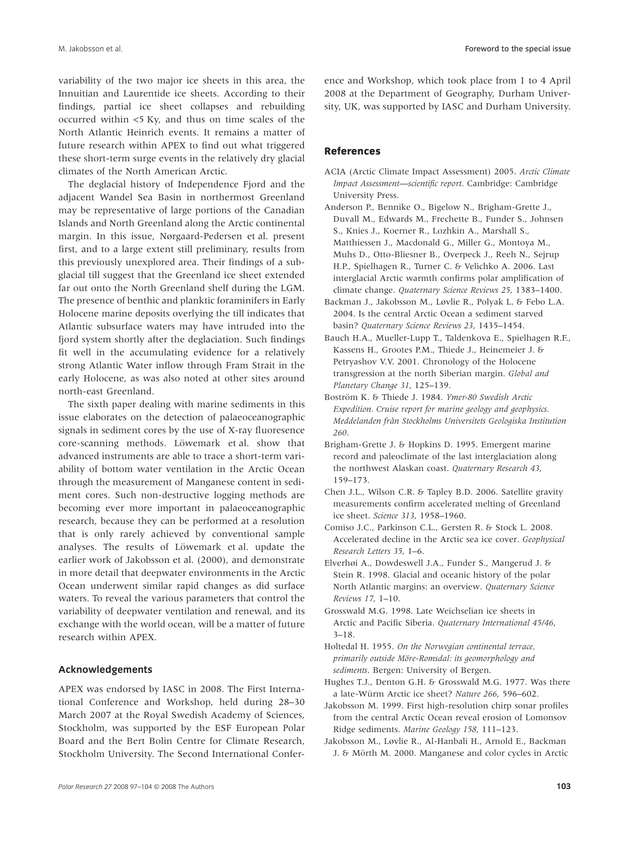variability of the two major ice sheets in this area, the Innuitian and Laurentide ice sheets. According to their findings, partial ice sheet collapses and rebuilding occurred within <5 Ky, and thus on time scales of the North Atlantic Heinrich events. It remains a matter of future research within APEX to find out what triggered these short-term surge events in the relatively dry glacial climates of the North American Arctic.

The deglacial history of Independence Fjord and the adjacent Wandel Sea Basin in northermost Greenland may be representative of large portions of the Canadian Islands and North Greenland along the Arctic continental margin. In this issue, Nørgaard-Pedersen et al. present first, and to a large extent still preliminary, results from this previously unexplored area. Their findings of a subglacial till suggest that the Greenland ice sheet extended far out onto the North Greenland shelf during the LGM. The presence of benthic and planktic foraminifers in Early Holocene marine deposits overlying the till indicates that Atlantic subsurface waters may have intruded into the fjord system shortly after the deglaciation. Such findings fit well in the accumulating evidence for a relatively strong Atlantic Water inflow through Fram Strait in the early Holocene, as was also noted at other sites around north-east Greenland.

The sixth paper dealing with marine sediments in this issue elaborates on the detection of palaeoceanographic signals in sediment cores by the use of X-ray fluoresence core-scanning methods. Löwemark et al. show that advanced instruments are able to trace a short-term variability of bottom water ventilation in the Arctic Ocean through the measurement of Manganese content in sediment cores. Such non-destructive logging methods are becoming ever more important in palaeoceanographic research, because they can be performed at a resolution that is only rarely achieved by conventional sample analyses. The results of Löwemark et al. update the earlier work of Jakobsson et al. (2000), and demonstrate in more detail that deepwater environments in the Arctic Ocean underwent similar rapid changes as did surface waters. To reveal the various parameters that control the variability of deepwater ventilation and renewal, and its exchange with the world ocean, will be a matter of future research within APEX.

#### **Acknowledgements**

APEX was endorsed by IASC in 2008. The First International Conference and Workshop, held during 28–30 March 2007 at the Royal Swedish Academy of Sciences, Stockholm, was supported by the ESF European Polar Board and the Bert Bolin Centre for Climate Research, Stockholm University. The Second International Conference and Workshop, which took place from 1 to 4 April 2008 at the Department of Geography, Durham University, UK, was supported by IASC and Durham University.

#### **References**

- ACIA (Arctic Climate Impact Assessment) 2005. *Arctic Climate Impact Assessment—scientific report*. Cambridge: Cambridge University Press.
- Anderson P., Bennike O., Bigelow N., Brigham-Grette J., Duvall M., Edwards M., Frechette B., Funder S., Johnsen S., Knies J., Koerner R., Lozhkin A., Marshall S., Matthiessen J., Macdonald G., Miller G., Montoya M., Muhs D., Otto-Bliesner B., Overpeck J., Reeh N., Sejrup H.P., Spielhagen R., Turner C. & Velichko A. 2006. Last interglacial Arctic warmth confirms polar amplification of climate change. *Quaternary Science Reviews 25*, 1383–1400.
- Backman J., Jakobsson M., Løvlie R., Polyak L. & Febo L.A. 2004. Is the central Arctic Ocean a sediment starved basin? *Quaternary Science Reviews 23*, 1435–1454.
- Bauch H.A., Mueller-Lupp T., Taldenkova E., Spielhagen R.F., Kassens H., Grootes P.M., Thiede J., Heinemeier J. & Petryashov V.V. 2001. Chronology of the Holocene transgression at the north Siberian margin. *Global and Planetary Change 31*, 125–139.
- Boström K. & Thiede J. 1984. *Ymer-80 Swedish Arctic Expedition. Cruise report for marine geology and geophysics. Meddelanden från Stockholms Universitets Geologiska Institution 260*.
- Brigham-Grette J. & Hopkins D. 1995. Emergent marine record and paleoclimate of the last interglaciation along the northwest Alaskan coast. *Quaternary Research 43*, 159–173.
- Chen J.L., Wilson C.R. & Tapley B.D. 2006. Satellite gravity measurements confirm accelerated melting of Greenland ice sheet. *Science 313*, 1958–1960.
- Comiso J.C., Parkinson C.L., Gersten R. & Stock L. 2008. Accelerated decline in the Arctic sea ice cover. *Geophysical Research Letters 35*, 1–6.
- Elverhøi A., Dowdeswell J.A., Funder S., Mangerud J. & Stein R. 1998. Glacial and oceanic history of the polar North Atlantic margins: an overview. *Quaternary Science Reviews 17*, 1–10.
- Grosswald M.G. 1998. Late Weichselian ice sheets in Arctic and Pacific Siberia. *Quaternary International 45/46*, 3–18.
- Holtedal H. 1955. *On the Norwegian continental terrace, primarily outside Möre-Romsdal: its geomorphology and sediments*. Bergen: University of Bergen.
- Hughes T.J., Denton G.H. & Grosswald M.G. 1977. Was there a late-Würm Arctic ice sheet? *Nature 266*, 596–602.
- Jakobsson M. 1999. First high-resolution chirp sonar profiles from the central Arctic Ocean reveal erosion of Lomonsov Ridge sediments. *Marine Geology 158*, 111–123.
- Jakobsson M., Løvlie R., Al-Hanbali H., Arnold E., Backman J. & Mörth M. 2000. Manganese and color cycles in Arctic